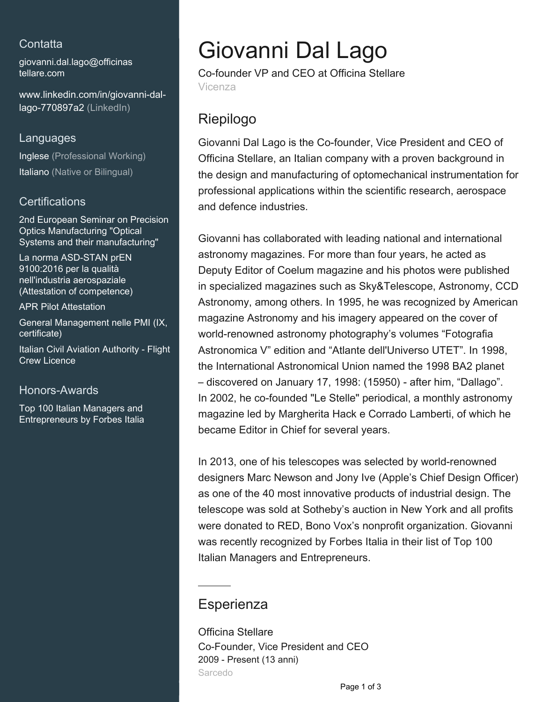## **Contatta**

[giovanni.dal.lago@officinas](mailto:giovanni.dal.lago@officinastellare.com) [tellare.com](mailto:giovanni.dal.lago@officinastellare.com)

[www.linkedin.com/in/giovanni-dal](https://www.linkedin.com/in/giovanni-dal-lago-770897a2?jobid=1234&lipi=urn%3Ali%3Apage%3Ad_jobs_easyapply_pdfgenresume%3By3S43ta7RlSi1FADi5fgAQ%3D%3D&licu=urn%3Ali%3Acontrol%3Ad_jobs_easyapply_pdfgenresume-v02_profile)[lago-770897a2 \(LinkedIn\)](https://www.linkedin.com/in/giovanni-dal-lago-770897a2?jobid=1234&lipi=urn%3Ali%3Apage%3Ad_jobs_easyapply_pdfgenresume%3By3S43ta7RlSi1FADi5fgAQ%3D%3D&licu=urn%3Ali%3Acontrol%3Ad_jobs_easyapply_pdfgenresume-v02_profile)

#### Languages

Inglese (Professional Working) Italiano (Native or Bilingual)

### **Certifications**

2nd European Seminar on Precision Optics Manufacturing "Optical Systems and their manufacturing"

La norma ASD-STAN prEN 9100:2016 per la qualità nell'industria aerospaziale (Attestation of competence)

APR Pilot Attestation

General Management nelle PMI (IX, certificate)

Italian Civil Aviation Authority - Flight Crew Licence

### Honors-Awards

Top 100 Italian Managers and Entrepreneurs by Forbes Italia

# Giovanni Dal Lago

Co-founder VP and CEO at Officina Stellare Vicenza

# Riepilogo

Giovanni Dal Lago is the Co-founder, Vice President and CEO of Officina Stellare, an Italian company with a proven background in the design and manufacturing of optomechanical instrumentation for professional applications within the scientific research, aerospace and defence industries.

Giovanni has collaborated with leading national and international astronomy magazines. For more than four years, he acted as Deputy Editor of Coelum magazine and his photos were published in specialized magazines such as Sky&Telescope, Astronomy, CCD Astronomy, among others. In 1995, he was recognized by American magazine Astronomy and his imagery appeared on the cover of world-renowned astronomy photography's volumes "Fotografia Astronomica V" edition and "Atlante dell'Universo UTET". In 1998, the International Astronomical Union named the 1998 BA2 planet – discovered on January 17, 1998: (15950) - after him, "Dallago". In 2002, he co-founded "Le Stelle" periodical, a monthly astronomy magazine led by Margherita Hack e Corrado Lamberti, of which he became Editor in Chief for several years.

In 2013, one of his telescopes was selected by world-renowned designers Marc Newson and Jony Ive (Apple's Chief Design Officer) as one of the 40 most innovative products of industrial design. The telescope was sold at Sotheby's auction in New York and all profits were donated to RED, Bono Vox's nonprofit organization. Giovanni was recently recognized by Forbes Italia in their list of Top 100 Italian Managers and Entrepreneurs.

## **Esperienza**

Officina Stellare Co-Founder, Vice President and CEO 2009 - Present (13 anni) Sarcedo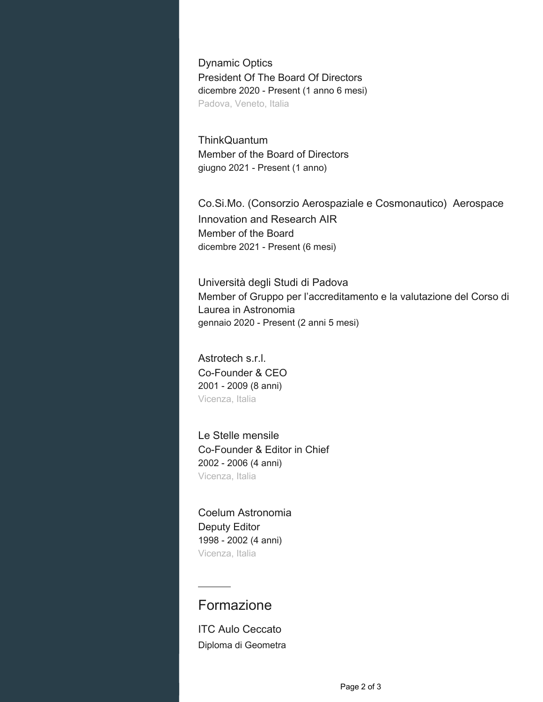Dynamic Optics President Of The Board Of Directors dicembre 2020 - Present (1 anno 6 mesi) Padova, Veneto, Italia

**ThinkQuantum** Member of the Board of Directors giugno 2021 - Present (1 anno)

Co.Si.Mo. (Consorzio Aerospaziale e Cosmonautico) Aerospace Innovation and Research AIR Member of the Board dicembre 2021 - Present (6 mesi)

Università degli Studi di Padova Member of Gruppo per l'accreditamento e la valutazione del Corso di Laurea in Astronomia gennaio 2020 - Present (2 anni 5 mesi)

Astrotech s.r.l. Co-Founder & CEO 2001 - 2009 (8 anni) Vicenza, Italia

Le Stelle mensile Co-Founder & Editor in Chief 2002 - 2006 (4 anni) Vicenza, Italia

Coelum Astronomia Deputy Editor 1998 - 2002 (4 anni) Vicenza, Italia

## Formazione

ITC Aulo Ceccato Diploma di Geometra